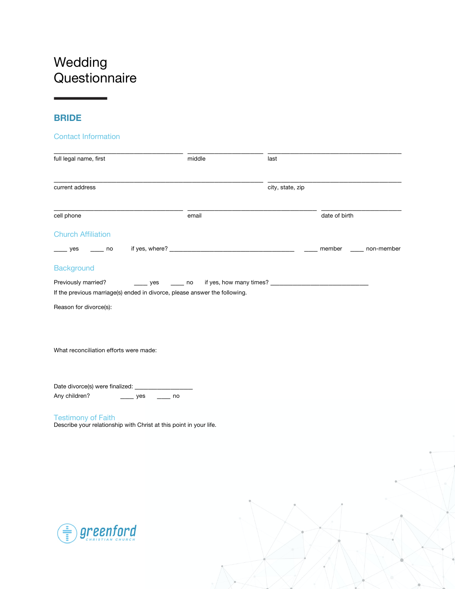# Wedding **Questionnaire**

## **BRIDE**

#### Contact Information

| full legal name, first                                                                            | middle           | last             |               |            |
|---------------------------------------------------------------------------------------------------|------------------|------------------|---------------|------------|
| current address                                                                                   |                  | city, state, zip |               |            |
| cell phone                                                                                        | email            |                  | date of birth |            |
| <b>Church Affiliation</b>                                                                         |                  |                  |               |            |
| $\overline{\phantom{a}}$ yes<br>$\overline{\phantom{0}}$ no                                       |                  |                  | member        | non-member |
| <b>Background</b>                                                                                 |                  |                  |               |            |
| Previously married?<br>If the previous marriage(s) ended in divorce, please answer the following. |                  |                  |               |            |
| Reason for divorce(s):                                                                            |                  |                  |               |            |
|                                                                                                   |                  |                  |               |            |
| What reconciliation efforts were made:                                                            |                  |                  |               |            |
| Date divorce(s) were finalized: _____________                                                     |                  |                  |               |            |
| Any children?<br>$\frac{1}{2}$ yes                                                                | $\frac{1}{2}$ no |                  |               |            |
| <b>Testimony of Faith</b><br>Describe your relationship with Christ at this point in your life.   |                  |                  |               |            |
|                                                                                                   |                  |                  |               |            |
|                                                                                                   |                  |                  |               |            |
|                                                                                                   |                  |                  |               |            |
|                                                                                                   |                  |                  |               |            |
|                                                                                                   |                  |                  |               |            |
|                                                                                                   |                  |                  |               |            |

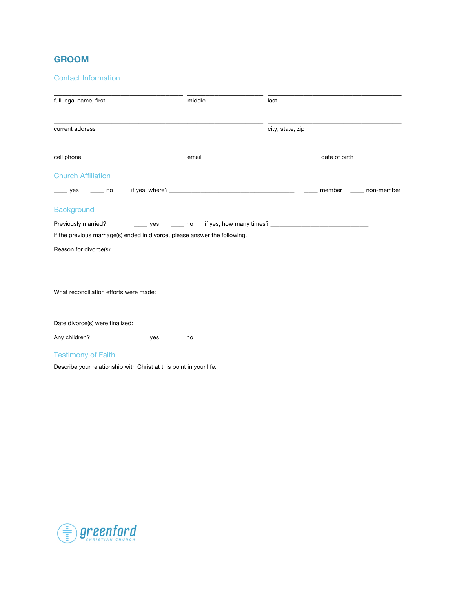#### **GROOM**

#### Contact Information

| full legal name, first                                                     | middle    | last             |                   |  |
|----------------------------------------------------------------------------|-----------|------------------|-------------------|--|
|                                                                            |           |                  |                   |  |
| current address                                                            |           | city, state, zip |                   |  |
| cell phone                                                                 | email     |                  | date of birth     |  |
| <b>Church Affiliation</b>                                                  |           |                  |                   |  |
| $yes$ no                                                                   |           |                  | member non-member |  |
| <b>Background</b>                                                          |           |                  |                   |  |
| Previously married?                                                        |           |                  |                   |  |
| If the previous marriage(s) ended in divorce, please answer the following. |           |                  |                   |  |
| Reason for divorce(s):                                                     |           |                  |                   |  |
|                                                                            |           |                  |                   |  |
| What reconciliation efforts were made:                                     |           |                  |                   |  |
| Date divorce(s) were finalized: _________________                          |           |                  |                   |  |
| Any children?                                                              | yes<br>no |                  |                   |  |
| <b>Testimony of Faith</b>                                                  |           |                  |                   |  |

Describe your relationship with Christ at this point in your life.